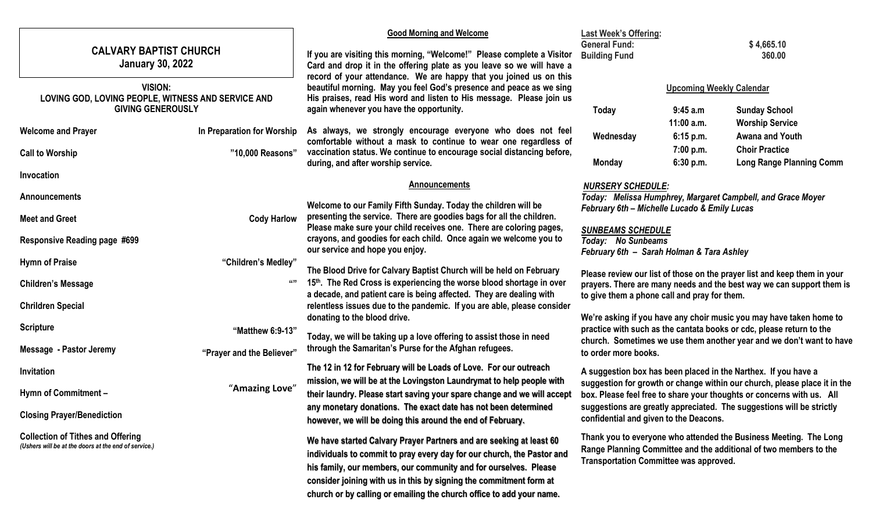|                                                                                                  |                            | <b>Good Morning and Welcome</b>                                                                                                                                                                                                                                                                                                                                 | <b>Last Week's Offering:</b>                                                                                                                                                                                                                |                        |                                                                                                                                        |  |
|--------------------------------------------------------------------------------------------------|----------------------------|-----------------------------------------------------------------------------------------------------------------------------------------------------------------------------------------------------------------------------------------------------------------------------------------------------------------------------------------------------------------|---------------------------------------------------------------------------------------------------------------------------------------------------------------------------------------------------------------------------------------------|------------------------|----------------------------------------------------------------------------------------------------------------------------------------|--|
| <b>CALVARY BAPTIST CHURCH</b><br><b>January 30, 2022</b>                                         |                            | If you are visiting this morning, "Welcome!" Please complete a Visitor<br>Card and drop it in the offering plate as you leave so we will have a                                                                                                                                                                                                                 | <b>General Fund:</b><br>\$4,665.10<br><b>Building Fund</b><br>360.00                                                                                                                                                                        |                        |                                                                                                                                        |  |
| <b>VISION:</b><br>LOVING GOD, LOVING PEOPLE, WITNESS AND SERVICE AND                             |                            | record of your attendance. We are happy that you joined us on this<br>beautiful morning. May you feel God's presence and peace as we sing<br>His praises, read His word and listen to His message. Please join us<br>again whenever you have the opportunity.                                                                                                   | <b>Upcoming Weekly Calendar</b>                                                                                                                                                                                                             |                        |                                                                                                                                        |  |
| <b>GIVING GENEROUSLY</b>                                                                         |                            |                                                                                                                                                                                                                                                                                                                                                                 | <b>Today</b>                                                                                                                                                                                                                                | 9:45a.m<br>11:00 a.m.  | <b>Sunday School</b><br><b>Worship Service</b>                                                                                         |  |
| <b>Welcome and Prayer</b>                                                                        | In Preparation for Worship | As always, we strongly encourage everyone who does not feel<br>comfortable without a mask to continue to wear one regardless of                                                                                                                                                                                                                                 | Wednesday                                                                                                                                                                                                                                   | 6:15 p.m.              | <b>Awana and Youth</b>                                                                                                                 |  |
| <b>Call to Worship</b>                                                                           | "10,000 Reasons"           | vaccination status. We continue to encourage social distancing before,<br>during, and after worship service.                                                                                                                                                                                                                                                    | <b>Monday</b>                                                                                                                                                                                                                               | 7:00 p.m.<br>6:30 p.m. | <b>Choir Practice</b><br><b>Long Range Planning Comm</b>                                                                               |  |
| Invocation                                                                                       |                            |                                                                                                                                                                                                                                                                                                                                                                 |                                                                                                                                                                                                                                             |                        |                                                                                                                                        |  |
| Announcements                                                                                    |                            | <b>Announcements</b><br><b>NURSERY SCHEDULE:</b><br>Today: Melissa Humphrey, Margaret Campbell, and Grace Moyer<br>Welcome to our Family Fifth Sunday. Today the children will be<br>February 6th - Michelle Lucado & Emily Lucas                                                                                                                               |                                                                                                                                                                                                                                             |                        |                                                                                                                                        |  |
| <b>Meet and Greet</b>                                                                            | <b>Cody Harlow</b>         | presenting the service. There are goodies bags for all the children.<br>Please make sure your child receives one. There are coloring pages,                                                                                                                                                                                                                     |                                                                                                                                                                                                                                             |                        |                                                                                                                                        |  |
| <b>Responsive Reading page #699</b>                                                              |                            | crayons, and goodies for each child. Once again we welcome you to<br>our service and hope you enjoy.                                                                                                                                                                                                                                                            | <b>SUNBEAMS SCHEDULE</b><br>Today: No Sunbeams<br>February 6th - Sarah Holman & Tara Ashley                                                                                                                                                 |                        |                                                                                                                                        |  |
| <b>Hymn of Praise</b>                                                                            | "Children's Medley"        | The Blood Drive for Calvary Baptist Church will be held on February                                                                                                                                                                                                                                                                                             |                                                                                                                                                                                                                                             |                        |                                                                                                                                        |  |
| <b>Children's Message</b>                                                                        |                            | Please review our list of those on the prayer list and keep them in your<br>15th. The Red Cross is experiencing the worse blood shortage in over<br>prayers. There are many needs and the best way we can support them is<br>a decade, and patient care is being affected. They are dealing with<br>to give them a phone call and pray for them.                |                                                                                                                                                                                                                                             |                        |                                                                                                                                        |  |
| <b>Chrildren Special</b>                                                                         |                            | relentless issues due to the pandemic. If you are able, please consider                                                                                                                                                                                                                                                                                         |                                                                                                                                                                                                                                             |                        |                                                                                                                                        |  |
| <b>Scripture</b>                                                                                 | "Matthew 6:9-13"           | donating to the blood drive.<br>Today, we will be taking up a love offering to assist those in need                                                                                                                                                                                                                                                             | We're asking if you have any choir music you may have taken home to<br>practice with such as the cantata books or cdc, please return to the<br>church. Sometimes we use them another year and we don't want to have<br>to order more books. |                        |                                                                                                                                        |  |
| <b>Message - Pastor Jeremy</b>                                                                   | "Prayer and the Believer"  | through the Samaritan's Purse for the Afghan refugees.                                                                                                                                                                                                                                                                                                          |                                                                                                                                                                                                                                             |                        |                                                                                                                                        |  |
| Invitation                                                                                       |                            | The 12 in 12 for February will be Loads of Love. For our outreach                                                                                                                                                                                                                                                                                               | A suggestion box has been placed in the Narthex. If you have a<br>suggestion for growth or change within our church, please place it in the<br>box. Please feel free to share your thoughts or concerns with us. All                        |                        |                                                                                                                                        |  |
| Hymn of Commitment -                                                                             | "Amazing Love"             | mission, we will be at the Lovingston Laundrymat to help people with<br>their laundry. Please start saving your spare change and we will accept                                                                                                                                                                                                                 |                                                                                                                                                                                                                                             |                        |                                                                                                                                        |  |
| <b>Closing Prayer/Benediction</b>                                                                |                            | any monetary donations. The exact date has not been determined<br>however, we will be doing this around the end of February.                                                                                                                                                                                                                                    | suggestions are greatly appreciated. The suggestions will be strictly<br>confidential and given to the Deacons.                                                                                                                             |                        |                                                                                                                                        |  |
| <b>Collection of Tithes and Offering</b><br>(Ushers will be at the doors at the end of service.) |                            | We have started Calvary Prayer Partners and are seeking at least 60<br>individuals to commit to pray every day for our church, the Pastor and<br>his family, our members, our community and for ourselves. Please<br>consider joining with us in this by signing the commitment form at<br>church or by calling or emailing the church office to add your name. | <b>Transportation Committee was approved.</b>                                                                                                                                                                                               |                        | Thank you to everyone who attended the Business Meeting. The Long<br>Range Planning Committee and the additional of two members to the |  |